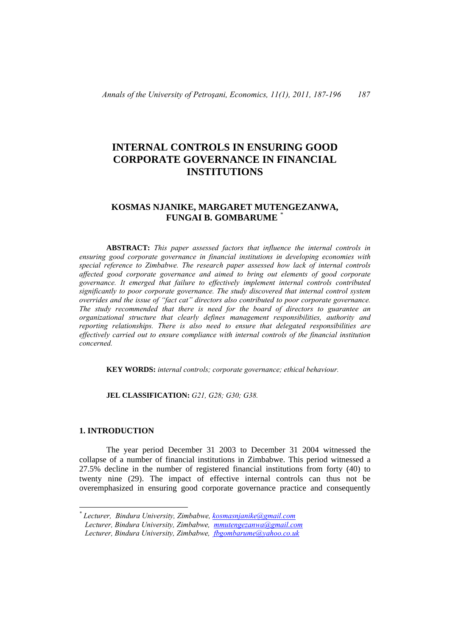# **INTERNAL CONTROLS IN ENSURING GOOD CORPORATE GOVERNANCE IN FINANCIAL INSTITUTIONS**

## **KOSMAS NJANIKE, MARGARET MUTENGEZANWA, FUNGAI B. GOMBARUME** [\\*](#page-0-0)

 **ABSTRACT:** *This paper assessed factors that influence the internal controls in ensuring good corporate governance in financial institutions in developing economies with special reference to Zimbabwe. The research paper assessed how lack of internal controls affected good corporate governance and aimed to bring out elements of good corporate governance. It emerged that failure to effectively implement internal controls contributed significantly to poor corporate governance. The study discovered that internal control system overrides and the issue of "fact cat" directors also contributed to poor corporate governance. The study recommended that there is need for the board of directors to guarantee an organizational structure that clearly defines management responsibilities, authority and reporting relationships. There is also need to ensure that delegated responsibilities are effectively carried out to ensure compliance with internal controls of the financial institution concerned.* 

 **KEY WORDS:** *internal controls; corporate governance; ethical behaviour.*

 **JEL CLASSIFICATION:** *G21, G28; G30; G38.*

#### **1. INTRODUCTION**

 $\overline{a}$ 

 The year period December 31 2003 to December 31 2004 witnessed the collapse of a number of financial institutions in Zimbabwe. This period witnessed a 27.5% decline in the number of registered financial institutions from forty (40) to twenty nine (29). The impact of effective internal controls can thus not be overemphasized in ensuring good corporate governance practice and consequently

<span id="page-0-0"></span>*<sup>\*</sup> Lecturer, Bindura University, Zimbabwe, [kosmasnjanike@gmail.com](mailto:kosmasnjanike@gmail.com) Lecturer, Bindura University, Zimbabwe, [mmutengezanwa@gmail.com](mailto:mmutengezanwa@gmail.com) Lecturer, Bindura University, Zimbabwe, [fbgombarume@yahoo.co.uk](mailto:fbgombarume@yahoo.co.uk)*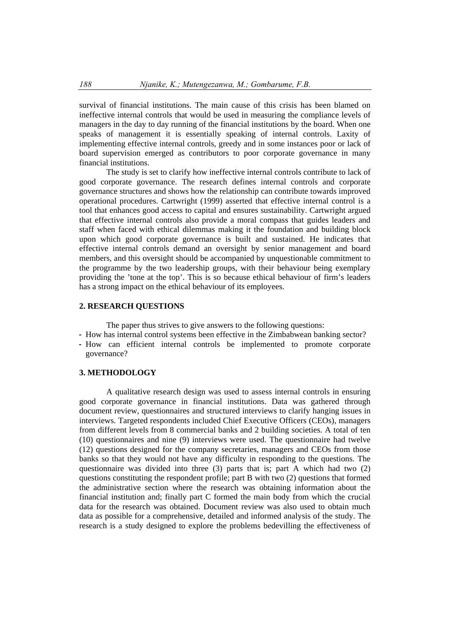survival of financial institutions. The main cause of this crisis has been blamed on ineffective internal controls that would be used in measuring the compliance levels of managers in the day to day running of the financial institutions by the board. When one speaks of management it is essentially speaking of internal controls. Laxity of implementing effective internal controls, greedy and in some instances poor or lack of board supervision emerged as contributors to poor corporate governance in many financial institutions.

 The study is set to clarify how ineffective internal controls contribute to lack of good corporate governance. The research defines internal controls and corporate governance structures and shows how the relationship can contribute towards improved operational procedures. Cartwright (1999) asserted that effective internal control is a tool that enhances good access to capital and ensures sustainability. Cartwright argued that effective internal controls also provide a moral compass that guides leaders and staff when faced with ethical dilemmas making it the foundation and building block upon which good corporate governance is built and sustained. He indicates that effective internal controls demand an oversight by senior management and board members, and this oversight should be accompanied by unquestionable commitment to the programme by the two leadership groups, with their behaviour being exemplary providing the 'tone at the top'. This is so because ethical behaviour of firm's leaders has a strong impact on the ethical behaviour of its employees.

#### **2. RESEARCH QUESTIONS**

The paper thus strives to give answers to the following questions:

- How has internal control systems been effective in the Zimbabwean banking sector?
- How can efficient internal controls be implemented to promote corporate governance?

#### **3. METHODOLOGY**

 A qualitative research design was used to assess internal controls in ensuring good corporate governance in financial institutions. Data was gathered through document review, questionnaires and structured interviews to clarify hanging issues in interviews. Targeted respondents included Chief Executive Officers (CEOs), managers from different levels from 8 commercial banks and 2 building societies. A total of ten (10) questionnaires and nine (9) interviews were used. The questionnaire had twelve (12) questions designed for the company secretaries, managers and CEOs from those banks so that they would not have any difficulty in responding to the questions. The questionnaire was divided into three (3) parts that is; part A which had two (2) questions constituting the respondent profile; part B with two (2) questions that formed the administrative section where the research was obtaining information about the financial institution and; finally part C formed the main body from which the crucial data for the research was obtained. Document review was also used to obtain much data as possible for a comprehensive, detailed and informed analysis of the study. The research is a study designed to explore the problems bedevilling the effectiveness of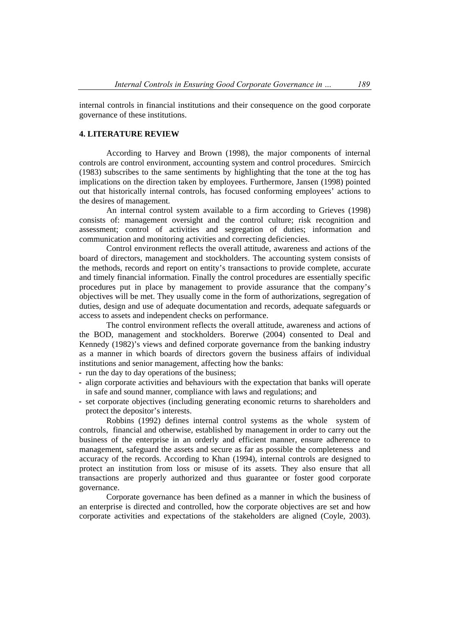internal controls in financial institutions and their consequence on the good corporate governance of these institutions.

## **4. LITERATURE REVIEW**

 According to Harvey and Brown (1998), the major components of internal controls are control environment, accounting system and control procedures. Smircich (1983) subscribes to the same sentiments by highlighting that the tone at the tog has implications on the direction taken by employees. Furthermore, Jansen (1998) pointed out that historically internal controls, has focused conforming employees' actions to the desires of management.

 An internal control system available to a firm according to Grieves (1998) consists of: management oversight and the control culture; risk recognition and assessment; control of activities and segregation of duties; information and communication and monitoring activities and correcting deficiencies.

 Control environment reflects the overall attitude, awareness and actions of the board of directors, management and stockholders. The accounting system consists of the methods, records and report on entity's transactions to provide complete, accurate and timely financial information. Finally the control procedures are essentially specific procedures put in place by management to provide assurance that the company's objectives will be met. They usually come in the form of authorizations, segregation of duties, design and use of adequate documentation and records, adequate safeguards or access to assets and independent checks on performance.

 The control environment reflects the overall attitude, awareness and actions of the BOD, management and stockholders. Borerwe (2004) consented to Deal and Kennedy (1982)'s views and defined corporate governance from the banking industry as a manner in which boards of directors govern the business affairs of individual institutions and senior management, affecting how the banks:

- run the day to day operations of the business;
- align corporate activities and behaviours with the expectation that banks will operate in safe and sound manner, compliance with laws and regulations; and
- set corporate objectives (including generating economic returns to shareholders and protect the depositor's interests.

 Robbins (1992) defines internal control systems as the whole system of controls, financial and otherwise, established by management in order to carry out the business of the enterprise in an orderly and efficient manner, ensure adherence to management, safeguard the assets and secure as far as possible the completeness and accuracy of the records. According to Khan (1994), internal controls are designed to protect an institution from loss or misuse of its assets. They also ensure that all transactions are properly authorized and thus guarantee or foster good corporate governance.

 Corporate governance has been defined as a manner in which the business of an enterprise is directed and controlled, how the corporate objectives are set and how corporate activities and expectations of the stakeholders are aligned (Coyle, 2003).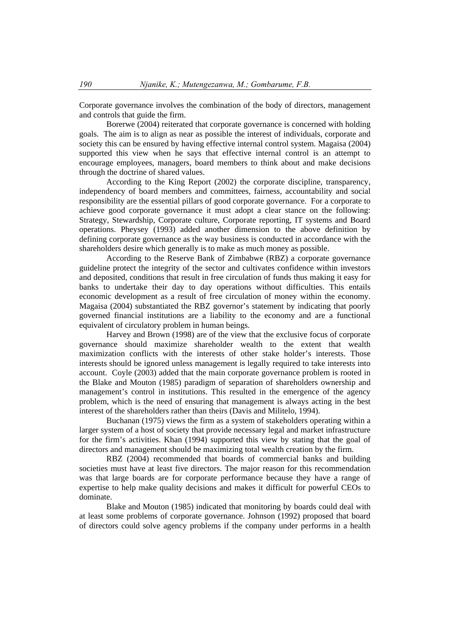Corporate governance involves the combination of the body of directors, management and controls that guide the firm.

 Borerwe (2004) reiterated that corporate governance is concerned with holding goals. The aim is to align as near as possible the interest of individuals, corporate and society this can be ensured by having effective internal control system. Magaisa (2004) supported this view when he says that effective internal control is an attempt to encourage employees, managers, board members to think about and make decisions through the doctrine of shared values.

 According to the King Report (2002) the corporate discipline, transparency, independency of board members and committees, fairness, accountability and social responsibility are the essential pillars of good corporate governance. For a corporate to achieve good corporate governance it must adopt a clear stance on the following: Strategy, Stewardship, Corporate culture, Corporate reporting, IT systems and Board operations. Pheysey (1993) added another dimension to the above definition by defining corporate governance as the way business is conducted in accordance with the shareholders desire which generally is to make as much money as possible.

 According to the Reserve Bank of Zimbabwe (RBZ) a corporate governance guideline protect the integrity of the sector and cultivates confidence within investors and deposited, conditions that result in free circulation of funds thus making it easy for banks to undertake their day to day operations without difficulties. This entails economic development as a result of free circulation of money within the economy. Magaisa (2004) substantiated the RBZ governor's statement by indicating that poorly governed financial institutions are a liability to the economy and are a functional equivalent of circulatory problem in human beings.

 Harvey and Brown (1998) are of the view that the exclusive focus of corporate governance should maximize shareholder wealth to the extent that wealth maximization conflicts with the interests of other stake holder's interests. Those interests should be ignored unless management is legally required to take interests into account. Coyle (2003) added that the main corporate governance problem is rooted in the Blake and Mouton (1985) paradigm of separation of shareholders ownership and management's control in institutions. This resulted in the emergence of the agency problem, which is the need of ensuring that management is always acting in the best interest of the shareholders rather than theirs (Davis and Militelo, 1994).

 Buchanan (1975) views the firm as a system of stakeholders operating within a larger system of a host of society that provide necessary legal and market infrastructure for the firm's activities. Khan (1994) supported this view by stating that the goal of directors and management should be maximizing total wealth creation by the firm.

 RBZ (2004) recommended that boards of commercial banks and building societies must have at least five directors. The major reason for this recommendation was that large boards are for corporate performance because they have a range of expertise to help make quality decisions and makes it difficult for powerful CEOs to dominate.

 Blake and Mouton (1985) indicated that monitoring by boards could deal with at least some problems of corporate governance. Johnson (1992) proposed that board of directors could solve agency problems if the company under performs in a health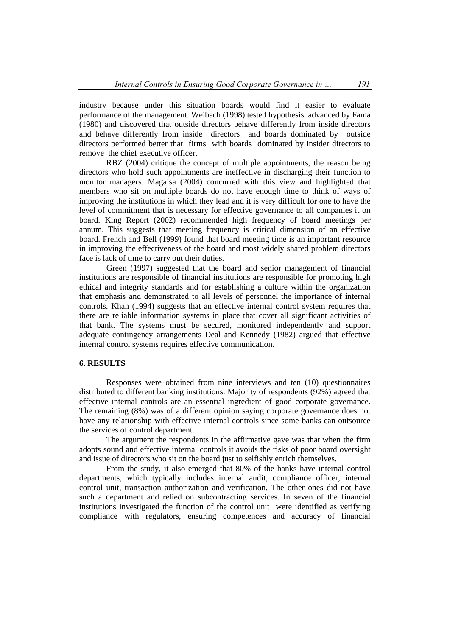industry because under this situation boards would find it easier to evaluate performance of the management. Weibach (1998) tested hypothesis advanced by Fama (1980) and discovered that outside directors behave differently from inside directors and behave differently from inside directors and boards dominated by outside directors performed better that firms with boards dominated by insider directors to remove the chief executive officer.

RBZ (2004) critique the concept of multiple appointments, the reason being directors who hold such appointments are ineffective in discharging their function to monitor managers. Magaisa (2004) concurred with this view and highlighted that members who sit on multiple boards do not have enough time to think of ways of improving the institutions in which they lead and it is very difficult for one to have the level of commitment that is necessary for effective governance to all companies it on board. King Report (2002) recommended high frequency of board meetings per annum. This suggests that meeting frequency is critical dimension of an effective board. French and Bell (1999) found that board meeting time is an important resource in improving the effectiveness of the board and most widely shared problem directors face is lack of time to carry out their duties.

 Green (1997) suggested that the board and senior management of financial institutions are responsible of financial institutions are responsible for promoting high ethical and integrity standards and for establishing a culture within the organization that emphasis and demonstrated to all levels of personnel the importance of internal controls. Khan (1994) suggests that an effective internal control system requires that there are reliable information systems in place that cover all significant activities of that bank. The systems must be secured, monitored independently and support adequate contingency arrangements Deal and Kennedy (1982) argued that effective internal control systems requires effective communication.

## **6. RESULTS**

 Responses were obtained from nine interviews and ten (10) questionnaires distributed to different banking institutions. Majority of respondents (92%) agreed that effective internal controls are an essential ingredient of good corporate governance. The remaining (8%) was of a different opinion saying corporate governance does not have any relationship with effective internal controls since some banks can outsource the services of control department.

 The argument the respondents in the affirmative gave was that when the firm adopts sound and effective internal controls it avoids the risks of poor board oversight and issue of directors who sit on the board just to selfishly enrich themselves.

 From the study, it also emerged that 80% of the banks have internal control departments, which typically includes internal audit, compliance officer, internal control unit, transaction authorization and verification. The other ones did not have such a department and relied on subcontracting services. In seven of the financial institutions investigated the function of the control unit were identified as verifying compliance with regulators, ensuring competences and accuracy of financial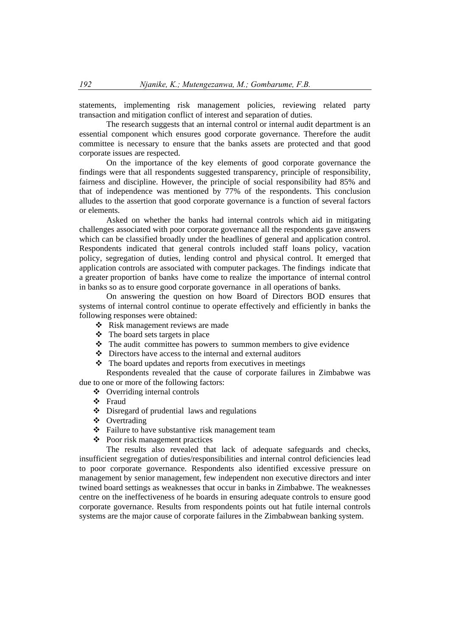statements, implementing risk management policies, reviewing related party transaction and mitigation conflict of interest and separation of duties.

 The research suggests that an internal control or internal audit department is an essential component which ensures good corporate governance. Therefore the audit committee is necessary to ensure that the banks assets are protected and that good corporate issues are respected.

 On the importance of the key elements of good corporate governance the findings were that all respondents suggested transparency, principle of responsibility, fairness and discipline. However, the principle of social responsibility had 85% and that of independence was mentioned by 77% of the respondents. This conclusion alludes to the assertion that good corporate governance is a function of several factors or elements.

 Asked on whether the banks had internal controls which aid in mitigating challenges associated with poor corporate governance all the respondents gave answers which can be classified broadly under the headlines of general and application control. Respondents indicated that general controls included staff loans policy, vacation policy, segregation of duties, lending control and physical control. It emerged that application controls are associated with computer packages. The findings indicate that a greater proportion of banks have come to realize the importance of internal control in banks so as to ensure good corporate governance in all operations of banks.

 On answering the question on how Board of Directors BOD ensures that systems of internal control continue to operate effectively and efficiently in banks the following responses were obtained:

- Risk management reviews are made
- The board sets targets in place
- The audit committee has powers to summon members to give evidence
- $\triangle$  Directors have access to the internal and external auditors
- $\triangle$  The board updates and reports from executives in meetings Respondents revealed that the cause of corporate failures in Zimbabwe was
- due to one or more of the following factors:
	- Overriding internal controls
	- Fraud
	- $\bullet$  Disregard of prudential laws and regulations
	- ❖ Overtrading
	- Failure to have substantive risk management team
	- Poor risk management practices

 The results also revealed that lack of adequate safeguards and checks, insufficient segregation of duties/responsibilities and internal control deficiencies lead to poor corporate governance. Respondents also identified excessive pressure on management by senior management, few independent non executive directors and inter twined board settings as weaknesses that occur in banks in Zimbabwe. The weaknesses centre on the ineffectiveness of he boards in ensuring adequate controls to ensure good corporate governance. Results from respondents points out hat futile internal controls systems are the major cause of corporate failures in the Zimbabwean banking system.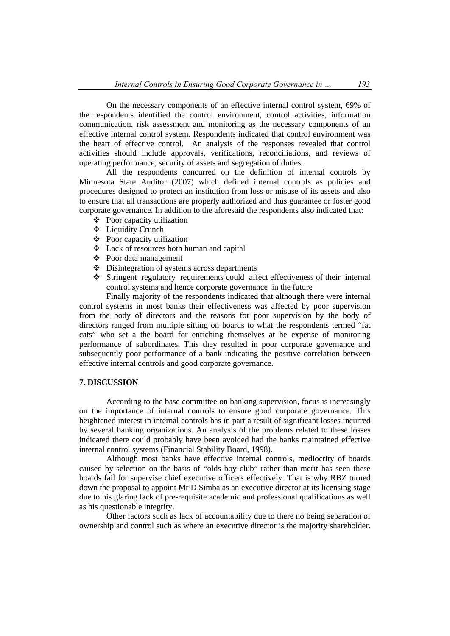On the necessary components of an effective internal control system, 69% of the respondents identified the control environment, control activities, information communication, risk assessment and monitoring as the necessary components of an effective internal control system. Respondents indicated that control environment was the heart of effective control. An analysis of the responses revealed that control activities should include approvals, verifications, reconciliations, and reviews of operating performance, security of assets and segregation of duties.

 All the respondents concurred on the definition of internal controls by Minnesota State Auditor (2007) which defined internal controls as policies and procedures designed to protect an institution from loss or misuse of its assets and also to ensure that all transactions are properly authorized and thus guarantee or foster good corporate governance. In addition to the aforesaid the respondents also indicated that:

- $\triangle$  Poor capacity utilization
- Liquidity Crunch
- $\triangle$  Poor capacity utilization
- Lack of resources both human and capital
- Poor data management
- Disintegration of systems across departments
- Stringent regulatory requirements could affect effectiveness of their internal control systems and hence corporate governance in the future

 Finally majority of the respondents indicated that although there were internal control systems in most banks their effectiveness was affected by poor supervision from the body of directors and the reasons for poor supervision by the body of directors ranged from multiple sitting on boards to what the respondents termed "fat cats" who set a the board for enriching themselves at he expense of monitoring performance of subordinates. This they resulted in poor corporate governance and subsequently poor performance of a bank indicating the positive correlation between effective internal controls and good corporate governance.

## **7. DISCUSSION**

 According to the base committee on banking supervision, focus is increasingly on the importance of internal controls to ensure good corporate governance. This heightened interest in internal controls has in part a result of significant losses incurred by several banking organizations. An analysis of the problems related to these losses indicated there could probably have been avoided had the banks maintained effective internal control systems (Financial Stability Board, 1998).

 Although most banks have effective internal controls, mediocrity of boards caused by selection on the basis of "olds boy club" rather than merit has seen these boards fail for supervise chief executive officers effectively. That is why RBZ turned down the proposal to appoint Mr D Simba as an executive director at its licensing stage due to his glaring lack of pre-requisite academic and professional qualifications as well as his questionable integrity.

 Other factors such as lack of accountability due to there no being separation of ownership and control such as where an executive director is the majority shareholder.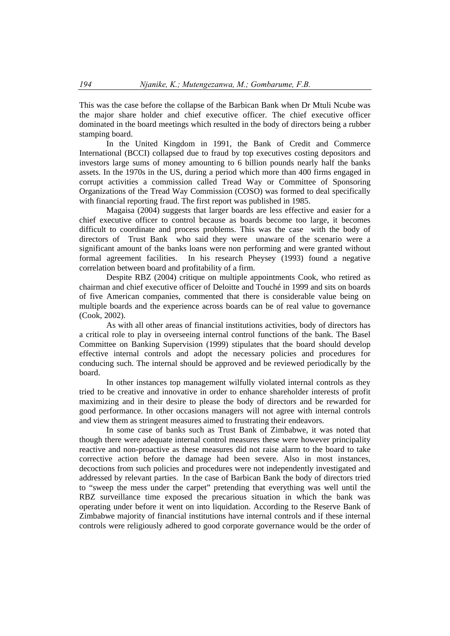This was the case before the collapse of the Barbican Bank when Dr Mtuli Ncube was the major share holder and chief executive officer. The chief executive officer dominated in the board meetings which resulted in the body of directors being a rubber stamping board.

 In the United Kingdom in 1991, the Bank of Credit and Commerce International (BCCI) collapsed due to fraud by top executives costing depositors and investors large sums of money amounting to 6 billion pounds nearly half the banks assets. In the 1970s in the US, during a period which more than 400 firms engaged in corrupt activities a commission called Tread Way or Committee of Sponsoring Organizations of the Tread Way Commission (COSO) was formed to deal specifically with financial reporting fraud. The first report was published in 1985.

 Magaisa (2004) suggests that larger boards are less effective and easier for a chief executive officer to control because as boards become too large, it becomes difficult to coordinate and process problems. This was the case with the body of directors of Trust Bank who said they were unaware of the scenario were a significant amount of the banks loans were non performing and were granted without formal agreement facilities. In his research Pheysey (1993) found a negative correlation between board and profitability of a firm.

Despite RBZ (2004) critique on multiple appointments Cook, who retired as chairman and chief executive officer of Deloitte and Touché in 1999 and sits on boards of five American companies, commented that there is considerable value being on multiple boards and the experience across boards can be of real value to governance (Cook, 2002).

 As with all other areas of financial institutions activities, body of directors has a critical role to play in overseeing internal control functions of the bank. The Basel Committee on Banking Supervision (1999) stipulates that the board should develop effective internal controls and adopt the necessary policies and procedures for conducing such. The internal should be approved and be reviewed periodically by the board.

 In other instances top management wilfully violated internal controls as they tried to be creative and innovative in order to enhance shareholder interests of profit maximizing and in their desire to please the body of directors and be rewarded for good performance. In other occasions managers will not agree with internal controls and view them as stringent measures aimed to frustrating their endeavors.

 In some case of banks such as Trust Bank of Zimbabwe, it was noted that though there were adequate internal control measures these were however principality reactive and non-proactive as these measures did not raise alarm to the board to take corrective action before the damage had been severe. Also in most instances, decoctions from such policies and procedures were not independently investigated and addressed by relevant parties. In the case of Barbican Bank the body of directors tried to "sweep the mess under the carpet" pretending that everything was well until the RBZ surveillance time exposed the precarious situation in which the bank was operating under before it went on into liquidation. According to the Reserve Bank of Zimbabwe majority of financial institutions have internal controls and if these internal controls were religiously adhered to good corporate governance would be the order of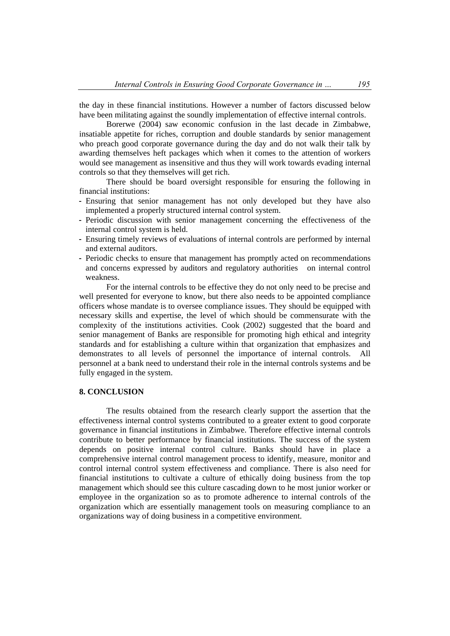the day in these financial institutions. However a number of factors discussed below have been militating against the soundly implementation of effective internal controls.

 Borerwe (2004) saw economic confusion in the last decade in Zimbabwe, insatiable appetite for riches, corruption and double standards by senior management who preach good corporate governance during the day and do not walk their talk by awarding themselves heft packages which when it comes to the attention of workers would see management as insensitive and thus they will work towards evading internal controls so that they themselves will get rich.

 There should be board oversight responsible for ensuring the following in financial institutions:

- Ensuring that senior management has not only developed but they have also implemented a properly structured internal control system.
- Periodic discussion with senior management concerning the effectiveness of the internal control system is held.
- Ensuring timely reviews of evaluations of internal controls are performed by internal and external auditors.
- Periodic checks to ensure that management has promptly acted on recommendations and concerns expressed by auditors and regulatory authorities on internal control weakness.

 For the internal controls to be effective they do not only need to be precise and well presented for everyone to know, but there also needs to be appointed compliance officers whose mandate is to oversee compliance issues. They should be equipped with necessary skills and expertise, the level of which should be commensurate with the complexity of the institutions activities. Cook (2002) suggested that the board and senior management of Banks are responsible for promoting high ethical and integrity standards and for establishing a culture within that organization that emphasizes and demonstrates to all levels of personnel the importance of internal controls. All personnel at a bank need to understand their role in the internal controls systems and be fully engaged in the system.

#### **8. CONCLUSION**

The results obtained from the research clearly support the assertion that the effectiveness internal control systems contributed to a greater extent to good corporate governance in financial institutions in Zimbabwe. Therefore effective internal controls contribute to better performance by financial institutions. The success of the system depends on positive internal control culture. Banks should have in place a comprehensive internal control management process to identify, measure, monitor and control internal control system effectiveness and compliance. There is also need for financial institutions to cultivate a culture of ethically doing business from the top management which should see this culture cascading down to he most junior worker or employee in the organization so as to promote adherence to internal controls of the organization which are essentially management tools on measuring compliance to an organizations way of doing business in a competitive environment.